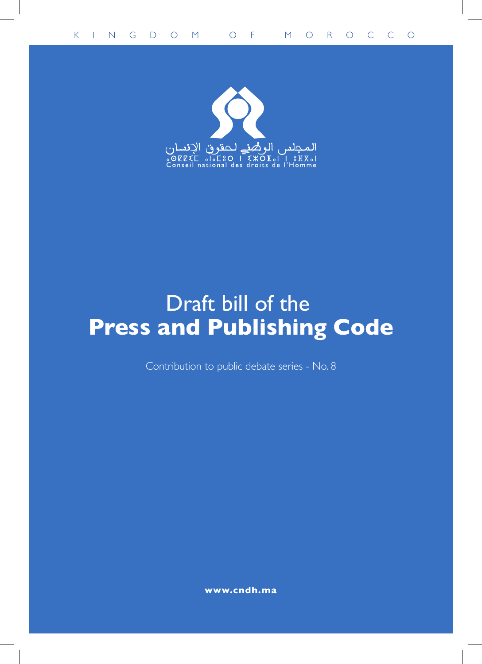

## Draft bill of the **Press and Publishing Code**

Contribution to public debate series - No. 8

**www.cndh.ma**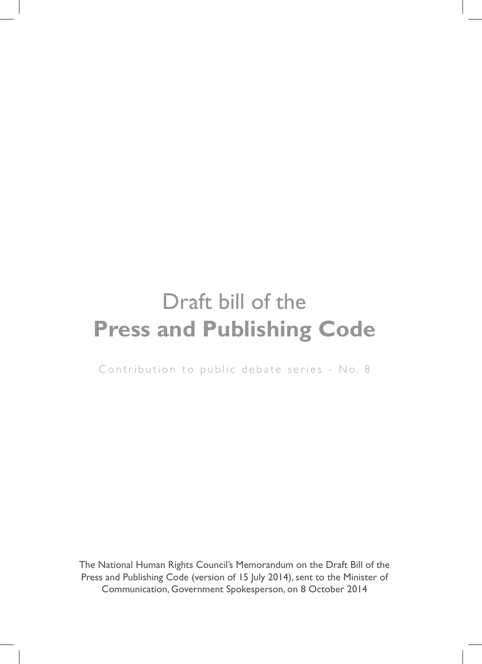# Draft bill of the **Press and Publishing Code**

Contribution to public debate series - No. 8

The National Human Rights Council's Memorandum on the Draft Bill of the Press and Publishing Code (version of 15 July 2014), sent to the Minister of Communication, Government Spokesperson, on 8 October 2014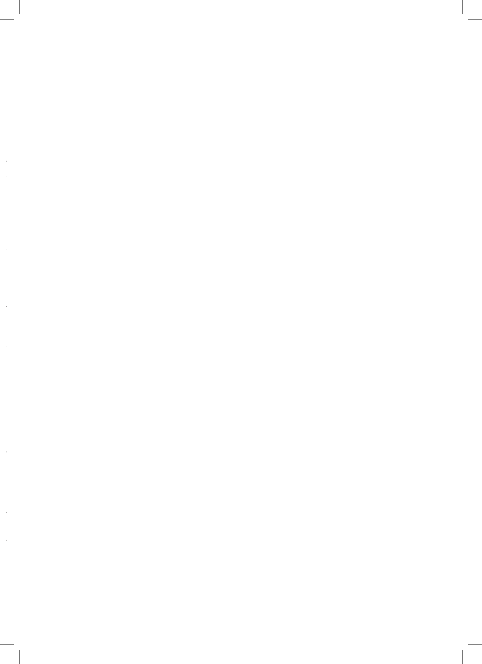$\mathcal{O}(\frac{1}{\epsilon})$ nationales de la presse écrite, tenues à Skhirat les 11 et 12 mars 2005 et organisées par  $\mathcal{S}$  » a été lancé. Ce dialogue a constitué un moment privilégié de réflexion sur le privilégié de réflexion sur le privilégié de réflexion sur le privilégié de réflexion sur le privilegié de réflexion sur le privileg  $\sim$  $\frac{1}{2}$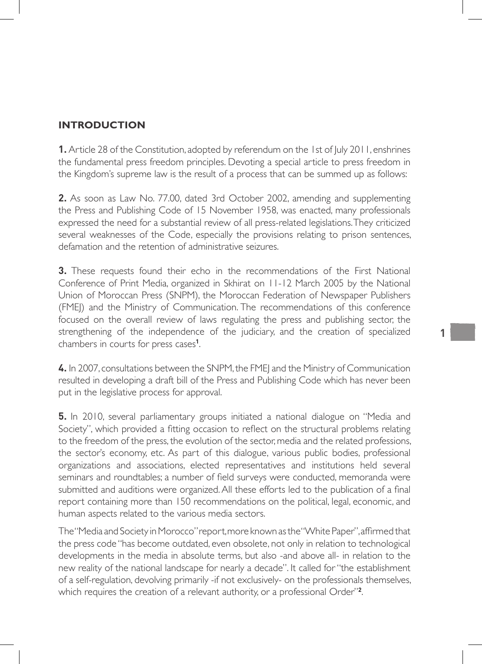## **INTRODUCTION**

**1.** Article 28 of the Constitution, adopted by referendum on the 1st of July 2011, enshrines the fundamental press freedom principles. Devoting a special article to press freedom in the Kingdom's supreme law is the result of a process that can be summed up as follows:

**2.** As soon as Law No. 77.00, dated 3rd October 2002, amending and supplementing the Press and Publishing Code of 15 November 1958, was enacted, many professionals expressed the need for a substantial review of all press-related legislations. They criticized several weaknesses of the Code, especially the provisions relating to prison sentences, defamation and the retention of administrative seizures.

**3.** These requests found their echo in the recommendations of the First National Conference of Print Media, organized in Skhirat on 11-12 March 2005 by the National Union of Moroccan Press (SNPM), the Moroccan Federation of Newspaper Publishers (FMEJ) and the Ministry of Communication. The recommendations of this conference focused on the overall review of laws regulating the press and publishing sector, the strengthening of the independence of the judiciary, and the creation of specialized chambers in courts for press cases**<sup>1</sup>** .

**1**

**4.** In 2007, consultations between the SNPM, the FMEJ and the Ministry of Communication resulted in developing a draft bill of the Press and Publishing Code which has never been put in the legislative process for approval.

**5.** In 2010, several parliamentary groups initiated a national dialogue on "Media and Society", which provided a fitting occasion to reflect on the structural problems relating to the freedom of the press, the evolution of the sector, media and the related professions, the sector's economy, etc. As part of this dialogue, various public bodies, professional organizations and associations, elected representatives and institutions held several seminars and roundtables; a number of field surveys were conducted, memoranda were submitted and auditions were organized. All these efforts led to the publication of a final report containing more than 150 recommendations on the political, legal, economic, and human aspects related to the various media sectors.

The "Media and Society in Morocco" report, more known as the "White Paper", affirmed that the press code "has become outdated, even obsolete, not only in relation to technological developments in the media in absolute terms, but also -and above all- in relation to the new reality of the national landscape for nearly a decade". It called for "the establishment of a self-regulation, devolving primarily -if not exclusively- on the professionals themselves, which requires the creation of a relevant authority, or a professional Order"**<sup>2</sup>** .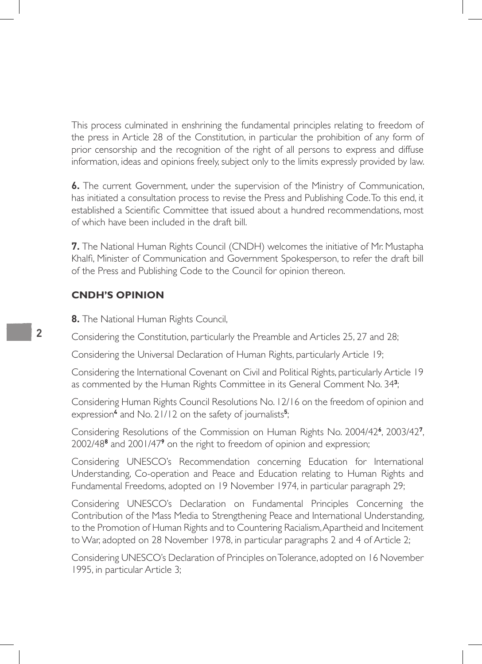This process culminated in enshrining the fundamental principles relating to freedom of the press in Article 28 of the Constitution, in particular the prohibition of any form of prior censorship and the recognition of the right of all persons to express and diffuse information, ideas and opinions freely, subject only to the limits expressly provided by law.

**6.** The current Government, under the supervision of the Ministry of Communication, has initiated a consultation process to revise the Press and Publishing Code. To this end, it established a Scientific Committee that issued about a hundred recommendations, most of which have been included in the draft bill.

**7.** The National Human Rights Council (CNDH) welcomes the initiative of Mr. Mustapha Khalfi, Minister of Communication and Government Spokesperson, to refer the draft bill of the Press and Publishing Code to the Council for opinion thereon.

## **CNDH's Opinion**

**8.** The National Human Rights Council,

Considering the Constitution, particularly the Preamble and Articles 25, 27 and 28;

Considering the Universal Declaration of Human Rights, particularly Article 19;

Considering the International Covenant on Civil and Political Rights, particularly Article 19 as commented by the Human Rights Committee in its General Comment No. 34**<sup>3</sup>** ;

Considering Human Rights Council Resolutions No. 12/16 on the freedom of opinion and expression**<sup>4</sup>** and No. 21/12 on the safety of journalists**<sup>5</sup>** ;

Considering Resolutions of the Commission on Human Rights No. 2004/42**<sup>6</sup>** , 2003/42**<sup>7</sup>** , 2002/48**<sup>8</sup>** and 2001/47**°** on the right to freedom of opinion and expression;

Considering UNESCO's Recommendation concerning Education for International Understanding, Co-operation and Peace and Education relating to Human Rights and Fundamental Freedoms, adopted on 19 November 1974, in particular paragraph 29;

Considering UNESCO's Declaration on Fundamental Principles Concerning the Contribution of the Mass Media to Strengthening Peace and International Understanding, to the Promotion of Human Rights and to Countering Racialism, Apartheid and Incitement to War, adopted on 28 November 1978, in particular paragraphs 2 and 4 of Article 2;

Considering UNESCO's Declaration of Principles on Tolerance, adopted on 16 November 1995, in particular Article 3;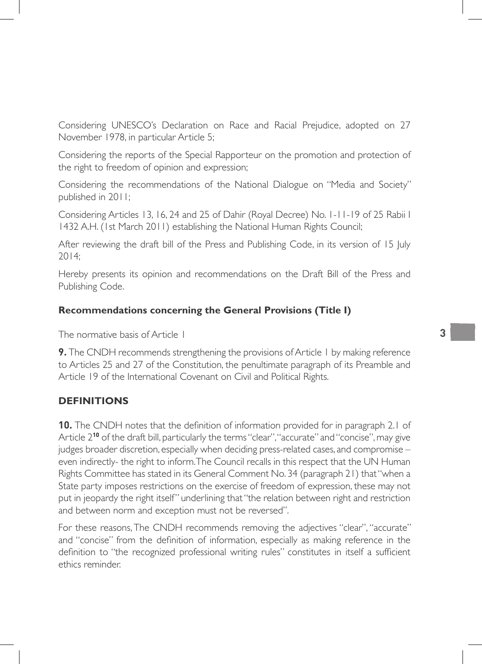Considering UNESCO's Declaration on Race and Racial Prejudice, adopted on 27 November 1978, in particular Article 5;

Considering the reports of the Special Rapporteur on the promotion and protection of the right to freedom of opinion and expression;

Considering the recommendations of the National Dialogue on "Media and Society" published in 2011;

Considering Articles 13, 16, 24 and 25 of Dahir (Royal Decree) No. 1-11-19 of 25 Rabii I 1432 A.H. (1st March 2011) establishing the National Human Rights Council;

After reviewing the draft bill of the Press and Publishing Code, in its version of 15 July 2014;

Hereby presents its opinion and recommendations on the Draft Bill of the Press and Publishing Code.

## **Recommendations concerning the General Provisions (Title I)**

The normative basis of Article 1

**9.** The CNDH recommends strengthening the provisions of Article 1 by making reference to Articles 25 and 27 of the Constitution, the penultimate paragraph of its Preamble and Article 19 of the International Covenant on Civil and Political Rights.

## **Definitions**

**10.** The CNDH notes that the definition of information provided for in paragraph 2.1 of Article 2**<sup>10</sup>** of the draft bill, particularly the terms "clear", "accurate" and "concise", may give judges broader discretion, especially when deciding press-related cases, and compromise – even indirectly- the right to inform. The Council recalls in this respect that the UN Human Rights Committee has stated in its General Comment No. 34 (paragraph 21) that "when a State party imposes restrictions on the exercise of freedom of expression, these may not put in jeopardy the right itself" underlining that "the relation between right and restriction and between norm and exception must not be reversed".

For these reasons, The CNDH recommends removing the adjectives "clear", "accurate" and "concise" from the definition of information, especially as making reference in the definition to "the recognized professional writing rules" constitutes in itself a sufficient ethics reminder.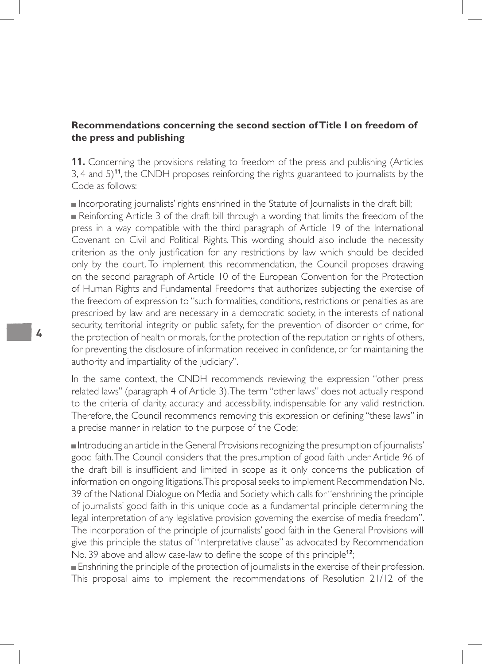### **Recommendations concerning the second section of Title I on freedom of the press and publishing**

**11.** Concerning the provisions relating to freedom of the press and publishing (Articles 3, 4 and 5)**<sup>11</sup>**, the CNDH proposes reinforcing the rights guaranteed to journalists by the Code as follows:

Incorporating journalists' rights enshrined in the Statute of Journalists in the draft bill; Reinforcing Article 3 of the draft bill through a wording that limits the freedom of the press in a way compatible with the third paragraph of Article 19 of the International Covenant on Civil and Political Rights. This wording should also include the necessity criterion as the only justification for any restrictions by law which should be decided only by the court. To implement this recommendation, the Council proposes drawing on the second paragraph of Article 10 of the European Convention for the Protection of Human Rights and Fundamental Freedoms that authorizes subjecting the exercise of the freedom of expression to "such formalities, conditions, restrictions or penalties as are prescribed by law and are necessary in a democratic society, in the interests of national security, territorial integrity or public safety, for the prevention of disorder or crime, for the protection of health or morals, for the protection of the reputation or rights of others, for preventing the disclosure of information received in confidence, or for maintaining the authority and impartiality of the judiciary".

In the same context, the CNDH recommends reviewing the expression "other press related laws" (paragraph 4 of Article 3). The term "other laws" does not actually respond to the criteria of clarity, accuracy and accessibility, indispensable for any valid restriction. Therefore, the Council recommends removing this expression or defining "these laws" in a precise manner in relation to the purpose of the Code;

Introducing an article in the General Provisions recognizing the presumption of journalists' good faith. The Council considers that the presumption of good faith under Article 96 of the draft bill is insufficient and limited in scope as it only concerns the publication of information on ongoing litigations. This proposal seeks to implement Recommendation No. 39 of the National Dialogue on Media and Society which calls for "enshrining the principle of journalists' good faith in this unique code as a fundamental principle determining the legal interpretation of any legislative provision governing the exercise of media freedom". The incorporation of the principle of journalists' good faith in the General Provisions will give this principle the status of "interpretative clause" as advocated by Recommendation No. 39 above and allow case-law to define the scope of this principle**<sup>12</sup>**;

**Enshrining the principle of the protection of journalists in the exercise of their profession.** This proposal aims to implement the recommendations of Resolution 21/12 of the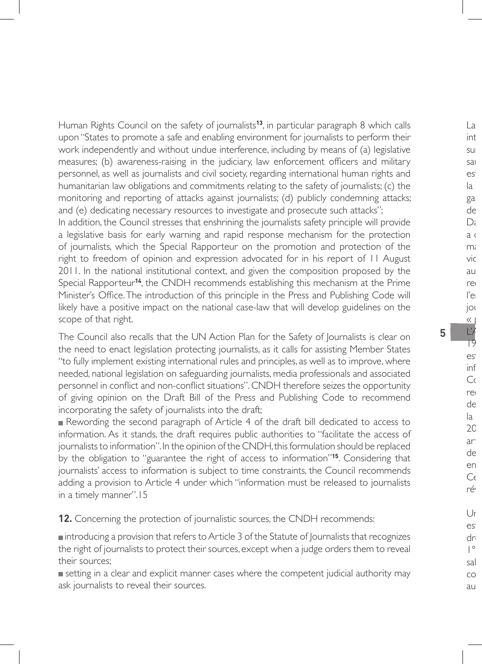Human Rights Council on the safety of journalists**<sup>13</sup>**, in particular paragraph 8 which calls upon "States to promote a safe and enabling environment for journalists to perform their work independently and without undue interference, including by means of (a) legislative measures; (b) awareness-raising in the judiciary, law enforcement officers and military personnel, as well as journalists and civil society, regarding international human rights and humanitarian law obligations and commitments relating to the safety of journalists; (c) the monitoring and reporting of attacks against journalists; (d) publicly condemning attacks; and (e) dedicating necessary resources to investigate and prosecute such attacks";

In addition, the Council stresses that enshrining the journalists safety principle will provide a legislative basis for early warning and rapid response mechanism for the protection of journalists, which the Special Rapporteur on the promotion and protection of the right to freedom of opinion and expression advocated for in his report of 11 August 2011. In the national institutional context, and given the composition proposed by the Special Rapporteur**<sup>14</sup>**, the CNDH recommends establishing this mechanism at the Prime Minister's Office. The introduction of this principle in the Press and Publishing Code will likely have a positive impact on the national case-law that will develop guidelines on the scope of that right.

The Council also recalls that the UN Action Plan for the Safety of Journalists is clear on the need to enact legislation protecting journalists, as it calls for assisting Member States "to fully implement existing international rules and principles, as well as to improve, where needed, national legislation on safeguarding journalists, media professionals and associated personnel in conflict and non-conflict situations". CNDH therefore seizes the opportunity of giving opinion on the Draft Bill of the Press and Publishing Code to recommend incorporating the safety of journalists into the draft;

Rewording the second paragraph of Article 4 of the draft bill dedicated to access to information. As it stands, the draft requires public authorities to "facilitate the access of journalists to information". In the opinion of the CNDH, this formulation should be replaced by the obligation to "guarantee the right of access to information"**<sup>15</sup>**. Considering that journalists' access to information is subject to time constraints, the Council recommends adding a provision to Article 4 under which "information must be released to journalists in a timely manner".15

**12.** Concerning the protection of journalistic sources, the CNDH recommends:

introducing a provision that refers to Article 3 of the Statute of Journalists that recognizes the right of journalists to protect their sources, except when a judge orders them to reveal their sources;

setting in a clear and explicit manner cases where the competent judicial authority may ask journalists to reveal their sources.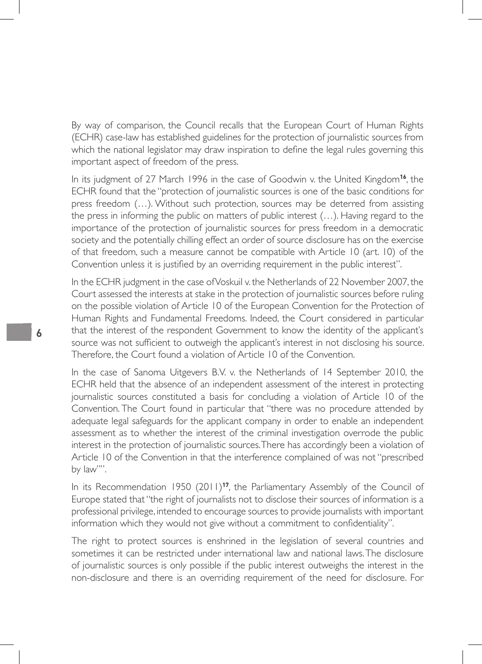By way of comparison, the Council recalls that the European Court of Human Rights (ECHR) case-law has established guidelines for the protection of journalistic sources from which the national legislator may draw inspiration to define the legal rules governing this important aspect of freedom of the press.

In its judgment of 27 March 1996 in the case of Goodwin v. the United Kingdom**<sup>16</sup>**, the ECHR found that the "protection of journalistic sources is one of the basic conditions for press freedom (…). Without such protection, sources may be deterred from assisting the press in informing the public on matters of public interest (…). Having regard to the importance of the protection of journalistic sources for press freedom in a democratic society and the potentially chilling effect an order of source disclosure has on the exercise of that freedom, such a measure cannot be compatible with Article 10 (art. 10) of the Convention unless it is justified by an overriding requirement in the public interest".

In the ECHR judgment in the case of Voskuil v. the Netherlands of 22 November 2007, the Court assessed the interests at stake in the protection of journalistic sources before ruling on the possible violation of Article 10 of the European Convention for the Protection of Human Rights and Fundamental Freedoms. Indeed, the Court considered in particular that the interest of the respondent Government to know the identity of the applicant's source was not sufficient to outweigh the applicant's interest in not disclosing his source. Therefore, the Court found a violation of Article 10 of the Convention.

In the case of Sanoma Uitgevers B.V. v. the Netherlands of 14 September 2010, the ECHR held that the absence of an independent assessment of the interest in protecting journalistic sources constituted a basis for concluding a violation of Article 10 of the Convention. The Court found in particular that "there was no procedure attended by adequate legal safeguards for the applicant company in order to enable an independent assessment as to whether the interest of the criminal investigation overrode the public interest in the protection of journalistic sources. There has accordingly been a violation of Article 10 of the Convention in that the interference complained of was not "prescribed by law"".

In its Recommendation 1950 (2011)**<sup>17</sup>**, the Parliamentary Assembly of the Council of Europe stated that "the right of journalists not to disclose their sources of information is a professional privilege, intended to encourage sources to provide journalists with important information which they would not give without a commitment to confidentiality".

The right to protect sources is enshrined in the legislation of several countries and sometimes it can be restricted under international law and national laws. The disclosure of journalistic sources is only possible if the public interest outweighs the interest in the non-disclosure and there is an overriding requirement of the need for disclosure. For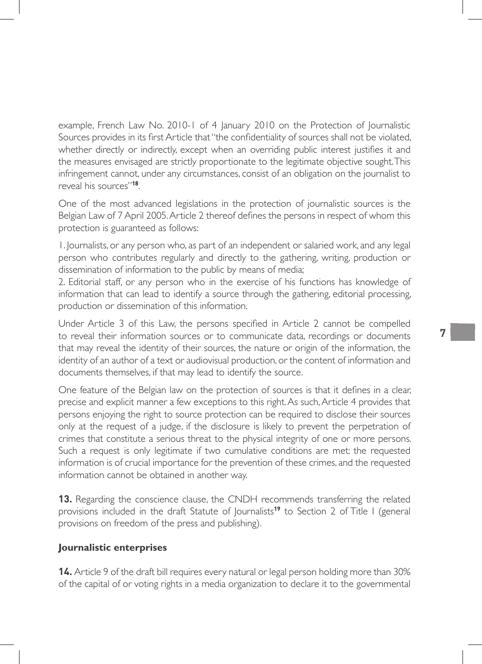example, French Law No. 2010-1 of 4 January 2010 on the Protection of Journalistic Sources provides in its first Article that "the confidentiality of sources shall not be violated, whether directly or indirectly, except when an overriding public interest justifies it and the measures envisaged are strictly proportionate to the legitimate objective sought. This infringement cannot, under any circumstances, consist of an obligation on the journalist to reveal his sources"**<sup>18</sup>**.

One of the most advanced legislations in the protection of journalistic sources is the Belgian Law of 7 April 2005. Article 2 thereof defines the persons in respect of whom this protection is guaranteed as follows:

1. Journalists, or any person who, as part of an independent or salaried work, and any legal person who contributes regularly and directly to the gathering, writing, production or dissemination of information to the public by means of media;

2. Editorial staff, or any person who in the exercise of his functions has knowledge of information that can lead to identify a source through the gathering, editorial processing, production or dissemination of this information.

Under Article 3 of this Law, the persons specified in Article 2 cannot be compelled to reveal their information sources or to communicate data, recordings or documents that may reveal the identity of their sources, the nature or origin of the information, the identity of an author of a text or audiovisual production, or the content of information and documents themselves, if that may lead to identify the source.

**7**

One feature of the Belgian law on the protection of sources is that it defines in a clear, precise and explicit manner a few exceptions to this right. As such, Article 4 provides that persons enjoying the right to source protection can be required to disclose their sources only at the request of a judge, if the disclosure is likely to prevent the perpetration of crimes that constitute a serious threat to the physical integrity of one or more persons. Such a request is only legitimate if two cumulative conditions are met: the requested information is of crucial importance for the prevention of these crimes, and the requested information cannot be obtained in another way.

**13.** Regarding the conscience clause, the CNDH recommends transferring the related provisions included in the draft Statute of Journalists**<sup>19</sup>** to Section 2 of Title I (general provisions on freedom of the press and publishing).

## **Journalistic enterprises**

**14.** Article 9 of the draft bill requires every natural or legal person holding more than 30% of the capital of or voting rights in a media organization to declare it to the governmental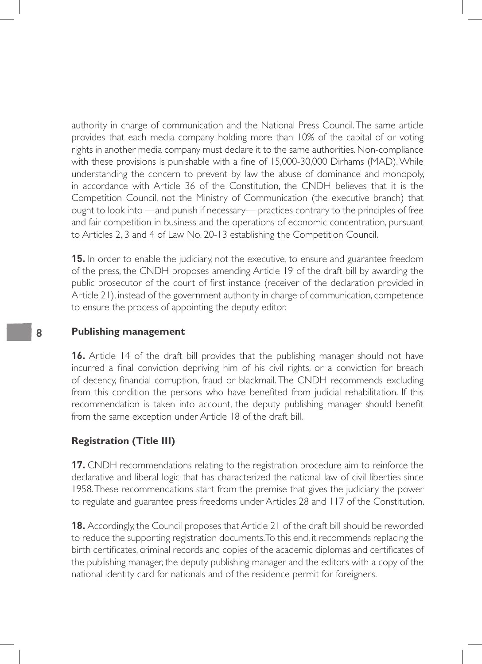authority in charge of communication and the National Press Council. The same article provides that each media company holding more than 10% of the capital of or voting rights in another media company must declare it to the same authorities. Non-compliance with these provisions is punishable with a fine of 15,000-30,000 Dirhams (MAD). While understanding the concern to prevent by law the abuse of dominance and monopoly, in accordance with Article 36 of the Constitution, the CNDH believes that it is the Competition Council, not the Ministry of Communication (the executive branch) that ought to look into —and punish if necessary— practices contrary to the principles of free and fair competition in business and the operations of economic concentration, pursuant to Articles 2, 3 and 4 of Law No. 20-13 establishing the Competition Council.

**15.** In order to enable the judiciary, not the executive, to ensure and guarantee freedom of the press, the CNDH proposes amending Article 19 of the draft bill by awarding the public prosecutor of the court of first instance (receiver of the declaration provided in Article 21), instead of the government authority in charge of communication, competence to ensure the process of appointing the deputy editor.

#### **Publishing management**

**16.** Article 14 of the draft bill provides that the publishing manager should not have incurred a final conviction depriving him of his civil rights, or a conviction for breach of decency, financial corruption, fraud or blackmail. The CNDH recommends excluding from this condition the persons who have benefited from judicial rehabilitation. If this recommendation is taken into account, the deputy publishing manager should benefit from the same exception under Article 18 of the draft bill.

## **Registration (Title III)**

**17.** CNDH recommendations relating to the registration procedure aim to reinforce the declarative and liberal logic that has characterized the national law of civil liberties since 1958. These recommendations start from the premise that gives the judiciary the power to regulate and guarantee press freedoms under Articles 28 and 117 of the Constitution.

**18.** Accordingly, the Council proposes that Article 21 of the draft bill should be reworded to reduce the supporting registration documents. To this end, it recommends replacing the birth certificates, criminal records and copies of the academic diplomas and certificates of the publishing manager, the deputy publishing manager and the editors with a copy of the national identity card for nationals and of the residence permit for foreigners.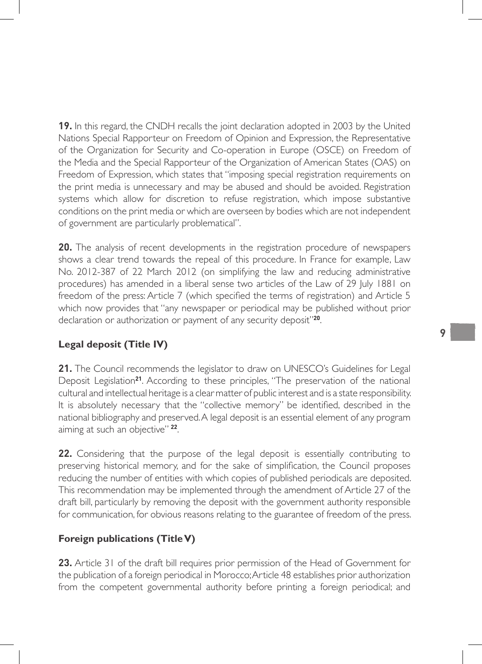**19.** In this regard, the CNDH recalls the joint declaration adopted in 2003 by the United Nations Special Rapporteur on Freedom of Opinion and Expression, the Representative of the Organization for Security and Co-operation in Europe (OSCE) on Freedom of the Media and the Special Rapporteur of the Organization of American States (OAS) on Freedom of Expression, which states that "imposing special registration requirements on the print media is unnecessary and may be abused and should be avoided. Registration systems which allow for discretion to refuse registration, which impose substantive conditions on the print media or which are overseen by bodies which are not independent of government are particularly problematical".

**20.** The analysis of recent developments in the registration procedure of newspapers shows a clear trend towards the repeal of this procedure. In France for example, Law No. 2012-387 of 22 March 2012 (on simplifying the law and reducing administrative procedures) has amended in a liberal sense two articles of the Law of 29 July 1881 on freedom of the press: Article 7 (which specified the terms of registration) and Article 5 which now provides that "any newspaper or periodical may be published without prior declaration or authorization or payment of any security deposit"**<sup>20</sup>**.

## **Legal deposit (Title IV)**

**21.** The Council recommends the legislator to draw on UNESCO's Guidelines for Legal Deposit Legislation**<sup>21</sup>**. According to these principles, "The preservation of the national cultural and intellectual heritage is a clear matter of public interest and is a state responsibility. It is absolutely necessary that the "collective memory" be identified, described in the national bibliography and preserved. A legal deposit is an essential element of any program aiming at such an objective" **<sup>22</sup>**.

**22.** Considering that the purpose of the legal deposit is essentially contributing to preserving historical memory, and for the sake of simplification, the Council proposes reducing the number of entities with which copies of published periodicals are deposited. This recommendation may be implemented through the amendment of Article 27 of the draft bill, particularly by removing the deposit with the government authority responsible for communication, for obvious reasons relating to the guarantee of freedom of the press.

## **Foreign publications (Title V)**

**23.** Article 31 of the draft bill requires prior permission of the Head of Government for the publication of a foreign periodical in Morocco; Article 48 establishes prior authorization from the competent governmental authority before printing a foreign periodical; and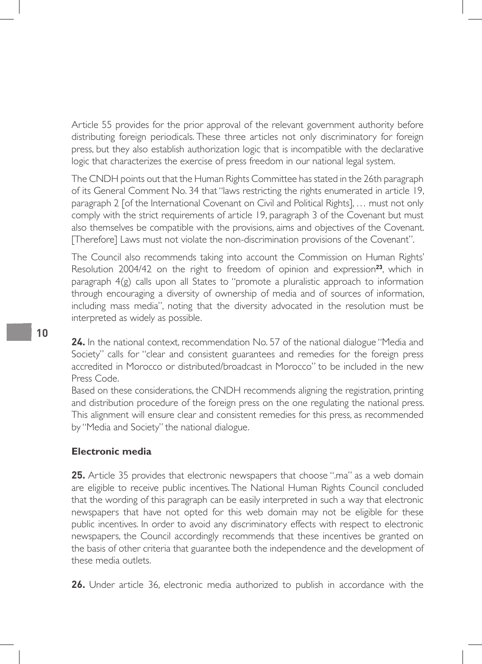Article 55 provides for the prior approval of the relevant government authority before distributing foreign periodicals. These three articles not only discriminatory for foreign press, but they also establish authorization logic that is incompatible with the declarative logic that characterizes the exercise of press freedom in our national legal system.

The CNDH points out that the Human Rights Committee has stated in the 26th paragraph of its General Comment No. 34 that "laws restricting the rights enumerated in article 19, paragraph 2 [of the International Covenant on Civil and Political Rights], … must not only comply with the strict requirements of article 19, paragraph 3 of the Covenant but must also themselves be compatible with the provisions, aims and objectives of the Covenant. [Therefore] Laws must not violate the non-discrimination provisions of the Covenant".

The Council also recommends taking into account the Commission on Human Rights' Resolution 2004/42 on the right to freedom of opinion and expression**<sup>23</sup>**, which in paragraph  $4(g)$  calls upon all States to "promote a pluralistic approach to information through encouraging a diversity of ownership of media and of sources of information, including mass media", noting that the diversity advocated in the resolution must be interpreted as widely as possible.

**24.** In the national context, recommendation No. 57 of the national dialogue "Media and Society" calls for "clear and consistent guarantees and remedies for the foreign press accredited in Morocco or distributed/broadcast in Morocco" to be included in the new Press Code.

Based on these considerations, the CNDH recommends aligning the registration, printing and distribution procedure of the foreign press on the one regulating the national press. This alignment will ensure clear and consistent remedies for this press, as recommended by "Media and Society" the national dialogue.

## **Electronic media**

**10**

**25.** Article 35 provides that electronic newspapers that choose ".ma" as a web domain are eligible to receive public incentives. The National Human Rights Council concluded that the wording of this paragraph can be easily interpreted in such a way that electronic newspapers that have not opted for this web domain may not be eligible for these public incentives. In order to avoid any discriminatory effects with respect to electronic newspapers, the Council accordingly recommends that these incentives be granted on the basis of other criteria that guarantee both the independence and the development of these media outlets.

**26.** Under article 36, electronic media authorized to publish in accordance with the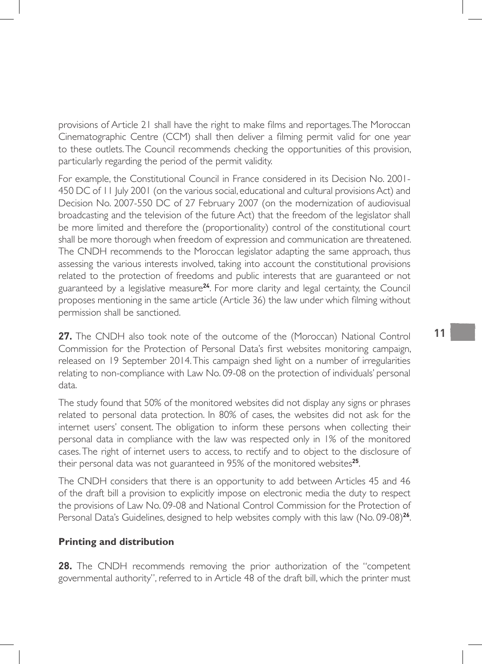provisions of Article 21 shall have the right to make films and reportages. The Moroccan Cinematographic Centre (CCM) shall then deliver a filming permit valid for one year to these outlets. The Council recommends checking the opportunities of this provision, particularly regarding the period of the permit validity.

For example, the Constitutional Council in France considered in its Decision No. 2001- 450 DC of 11 July 2001 (on the various social, educational and cultural provisions Act) and Decision No. 2007-550 DC of 27 February 2007 (on the modernization of audiovisual broadcasting and the television of the future Act) that the freedom of the legislator shall be more limited and therefore the (proportionality) control of the constitutional court shall be more thorough when freedom of expression and communication are threatened. The CNDH recommends to the Moroccan legislator adapting the same approach, thus assessing the various interests involved, taking into account the constitutional provisions related to the protection of freedoms and public interests that are guaranteed or not guaranteed by a legislative measure**<sup>24</sup>**. For more clarity and legal certainty, the Council proposes mentioning in the same article (Article 36) the law under which filming without permission shall be sanctioned.

**27.** The CNDH also took note of the outcome of the (Moroccan) National Control Commission for the Protection of Personal Data's first websites monitoring campaign, released on 19 September 2014. This campaign shed light on a number of irregularities relating to non-compliance with Law No. 09-08 on the protection of individuals' personal data.

The study found that 50% of the monitored websites did not display any signs or phrases related to personal data protection. In 80% of cases, the websites did not ask for the internet users' consent. The obligation to inform these persons when collecting their personal data in compliance with the law was respected only in 1% of the monitored cases. The right of internet users to access, to rectify and to object to the disclosure of their personal data was not guaranteed in 95% of the monitored websites**<sup>25</sup>**.

The CNDH considers that there is an opportunity to add between Articles 45 and 46 of the draft bill a provision to explicitly impose on electronic media the duty to respect the provisions of Law No. 09-08 and National Control Commission for the Protection of Personal Data's Guidelines, designed to help websites comply with this law (No. 09-08)**<sup>26</sup>**.

## **Printing and distribution**

**28.** The CNDH recommends removing the prior authorization of the "competent governmental authority", referred to in Article 48 of the draft bill, which the printer must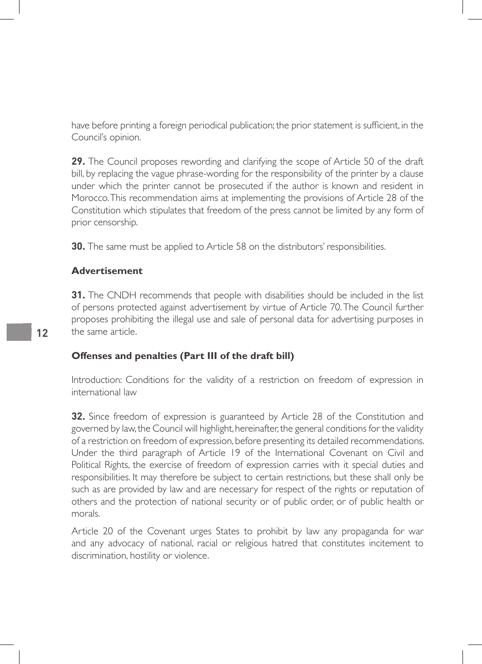have before printing a foreign periodical publication; the prior statement is sufficient, in the Council's opinion.

**29.** The Council proposes rewording and clarifying the scope of Article 50 of the draft bill, by replacing the vague phrase-wording for the responsibility of the printer by a clause under which the printer cannot be prosecuted if the author is known and resident in Morocco. This recommendation aims at implementing the provisions of Article 28 of the Constitution which stipulates that freedom of the press cannot be limited by any form of prior censorship.

**30.** The same must be applied to Article 58 on the distributors' responsibilities.

## **Advertisement**

**31.** The CNDH recommends that people with disabilities should be included in the list of persons protected against advertisement by virtue of Article 70. The Council further proposes prohibiting the illegal use and sale of personal data for advertising purposes in the same article.

## **Offenses and penalties (Part III of the draft bill)**

Introduction: Conditions for the validity of a restriction on freedom of expression in international law

**32.** Since freedom of expression is guaranteed by Article 28 of the Constitution and governed by law, the Council will highlight, hereinafter, the general conditions for the validity of a restriction on freedom of expression, before presenting its detailed recommendations. Under the third paragraph of Article 19 of the International Covenant on Civil and Political Rights, the exercise of freedom of expression carries with it special duties and responsibilities. It may therefore be subject to certain restrictions, but these shall only be such as are provided by law and are necessary for respect of the rights or reputation of others and the protection of national security or of public order, or of public health or morals.

Article 20 of the Covenant urges States to prohibit by law any propaganda for war and any advocacy of national, racial or religious hatred that constitutes incitement to discrimination, hostility or violence.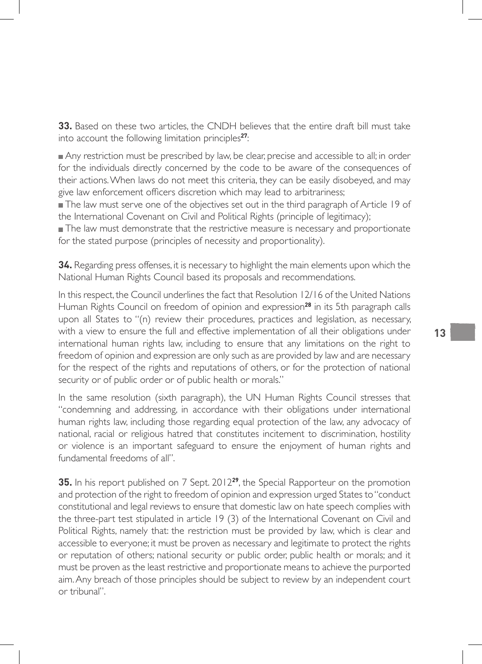**33.** Based on these two articles, the CNDH believes that the entire draft bill must take into account the following limitation principles**<sup>27</sup>**:

Any restriction must be prescribed by law, be clear, precise and accessible to all; in order for the individuals directly concerned by the code to be aware of the consequences of their actions. When laws do not meet this criteria, they can be easily disobeyed, and may give law enforcement officers discretion which may lead to arbitrariness;

The law must serve one of the objectives set out in the third paragraph of Article 19 of the International Covenant on Civil and Political Rights (principle of legitimacy);

The law must demonstrate that the restrictive measure is necessary and proportionate for the stated purpose (principles of necessity and proportionality).

**34.** Regarding press offenses, it is necessary to highlight the main elements upon which the National Human Rights Council based its proposals and recommendations.

In this respect, the Council underlines the fact that Resolution 12/16 of the United Nations Human Rights Council on freedom of opinion and expression**<sup>28</sup>** in its 5th paragraph calls upon all States to "(n) review their procedures, practices and legislation, as necessary, with a view to ensure the full and effective implementation of all their obligations under international human rights law, including to ensure that any limitations on the right to freedom of opinion and expression are only such as are provided by law and are necessary for the respect of the rights and reputations of others, or for the protection of national security or of public order or of public health or morals."

In the same resolution (sixth paragraph), the UN Human Rights Council stresses that "condemning and addressing, in accordance with their obligations under international human rights law, including those regarding equal protection of the law, any advocacy of national, racial or religious hatred that constitutes incitement to discrimination, hostility or violence is an important safeguard to ensure the enjoyment of human rights and fundamental freedoms of all".

**35.** In his report published on 7 Sept. 2012**<sup>29</sup>**, the Special Rapporteur on the promotion and protection of the right to freedom of opinion and expression urged States to "conduct constitutional and legal reviews to ensure that domestic law on hate speech complies with the three-part test stipulated in article 19 (3) of the International Covenant on Civil and Political Rights, namely that: the restriction must be provided by law, which is clear and accessible to everyone; it must be proven as necessary and legitimate to protect the rights or reputation of others; national security or public order, public health or morals; and it must be proven as the least restrictive and proportionate means to achieve the purported aim. Any breach of those principles should be subject to review by an independent court or tribunal".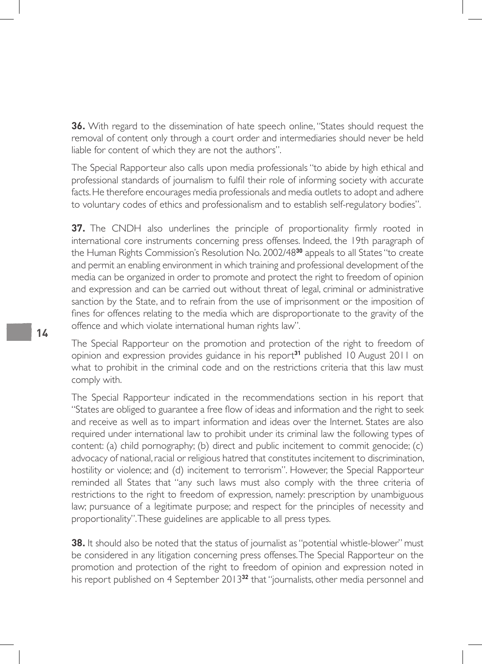**36.** With regard to the dissemination of hate speech online, "States should request the removal of content only through a court order and intermediaries should never be held liable for content of which they are not the authors".

The Special Rapporteur also calls upon media professionals "to abide by high ethical and professional standards of journalism to fulfil their role of informing society with accurate facts. He therefore encourages media professionals and media outlets to adopt and adhere to voluntary codes of ethics and professionalism and to establish self-regulatory bodies".

**37.** The CNDH also underlines the principle of proportionality firmly rooted in international core instruments concerning press offenses. Indeed, the 19th paragraph of the Human Rights Commission's Resolution No. 2002/48**<sup>30</sup>** appeals to all States "to create and permit an enabling environment in which training and professional development of the media can be organized in order to promote and protect the right to freedom of opinion and expression and can be carried out without threat of legal, criminal or administrative sanction by the State, and to refrain from the use of imprisonment or the imposition of fines for offences relating to the media which are disproportionate to the gravity of the offence and which violate international human rights law".

The Special Rapporteur on the promotion and protection of the right to freedom of opinion and expression provides guidance in his report**<sup>31</sup>** published 10 August 2011 on what to prohibit in the criminal code and on the restrictions criteria that this law must comply with.

The Special Rapporteur indicated in the recommendations section in his report that "States are obliged to guarantee a free flow of ideas and information and the right to seek and receive as well as to impart information and ideas over the Internet. States are also required under international law to prohibit under its criminal law the following types of content: (a) child pornography; (b) direct and public incitement to commit genocide; (c) advocacy of national, racial or religious hatred that constitutes incitement to discrimination, hostility or violence; and (d) incitement to terrorism". However, the Special Rapporteur reminded all States that "any such laws must also comply with the three criteria of restrictions to the right to freedom of expression, namely: prescription by unambiguous law; pursuance of a legitimate purpose; and respect for the principles of necessity and proportionality". These guidelines are applicable to all press types.

**38.** It should also be noted that the status of journalist as "potential whistle-blower" must be considered in any litigation concerning press offenses. The Special Rapporteur on the promotion and protection of the right to freedom of opinion and expression noted in his report published on 4 September 2013**32** that "journalists, other media personnel and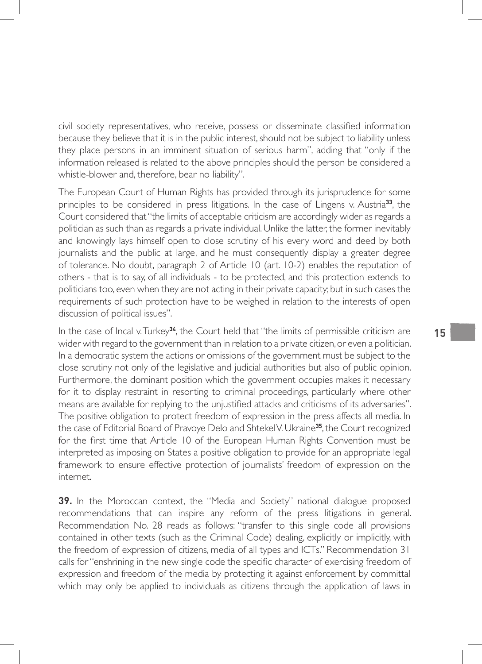civil society representatives, who receive, possess or disseminate classified information because they believe that it is in the public interest, should not be subject to liability unless they place persons in an imminent situation of serious harm", adding that "only if the information released is related to the above principles should the person be considered a whistle-blower and, therefore, bear no liability".

The European Court of Human Rights has provided through its jurisprudence for some principles to be considered in press litigations. In the case of Lingens v. Austria**<sup>33</sup>**, the Court considered that "the limits of acceptable criticism are accordingly wider as regards a politician as such than as regards a private individual. Unlike the latter, the former inevitably and knowingly lays himself open to close scrutiny of his every word and deed by both journalists and the public at large, and he must consequently display a greater degree of tolerance. No doubt, paragraph 2 of Article 10 (art. 10-2) enables the reputation of others - that is to say, of all individuals - to be protected, and this protection extends to politicians too, even when they are not acting in their private capacity; but in such cases the requirements of such protection have to be weighed in relation to the interests of open discussion of political issues".

In the case of Incal v. Turkey**<sup>34</sup>**, the Court held that "the limits of permissible criticism are wider with regard to the government than in relation to a private citizen, or even a politician. In a democratic system the actions or omissions of the government must be subject to the close scrutiny not only of the legislative and judicial authorities but also of public opinion. Furthermore, the dominant position which the government occupies makes it necessary for it to display restraint in resorting to criminal proceedings, particularly where other means are available for replying to the unjustified attacks and criticisms of its adversaries". The positive obligation to protect freedom of expression in the press affects all media. In the case of Editorial Board of Pravoye Delo and Shtekel V. Ukraine**<sup>35</sup>**, the Court recognized for the first time that Article 10 of the European Human Rights Convention must be interpreted as imposing on States a positive obligation to provide for an appropriate legal framework to ensure effective protection of journalists' freedom of expression on the internet.

**39.** In the Moroccan context, the "Media and Society" national dialogue proposed recommendations that can inspire any reform of the press litigations in general. Recommendation No. 28 reads as follows: "transfer to this single code all provisions contained in other texts (such as the Criminal Code) dealing, explicitly or implicitly, with the freedom of expression of citizens, media of all types and ICTs." Recommendation 31 calls for "enshrining in the new single code the specific character of exercising freedom of expression and freedom of the media by protecting it against enforcement by committal which may only be applied to individuals as citizens through the application of laws in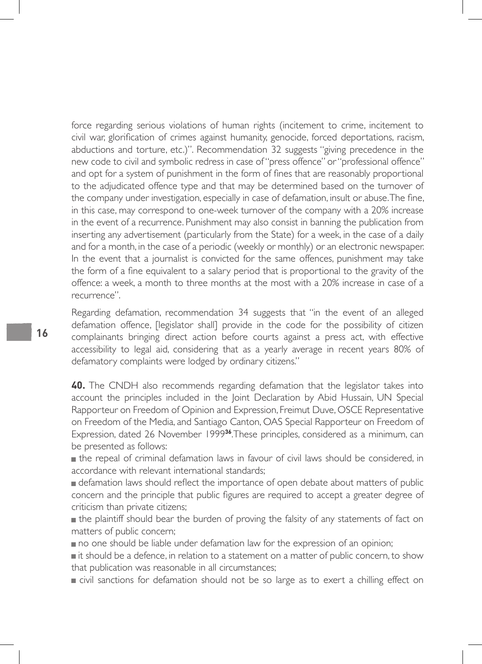force regarding serious violations of human rights (incitement to crime, incitement to civil war, glorification of crimes against humanity, genocide, forced deportations, racism, abductions and torture, etc.)". Recommendation 32 suggests "giving precedence in the new code to civil and symbolic redress in case of "press offence" or "professional offence" and opt for a system of punishment in the form of fines that are reasonably proportional to the adjudicated offence type and that may be determined based on the turnover of the company under investigation, especially in case of defamation, insult or abuse. The fine, in this case, may correspond to one-week turnover of the company with a 20% increase in the event of a recurrence. Punishment may also consist in banning the publication from inserting any advertisement (particularly from the State) for a week, in the case of a daily and for a month, in the case of a periodic (weekly or monthly) or an electronic newspaper. In the event that a journalist is convicted for the same offences, punishment may take the form of a fine equivalent to a salary period that is proportional to the gravity of the offence: a week, a month to three months at the most with a 20% increase in case of a recurrence".

Regarding defamation, recommendation 34 suggests that "in the event of an alleged defamation offence, [legislator shall] provide in the code for the possibility of citizen complainants bringing direct action before courts against a press act, with effective accessibility to legal aid, considering that as a yearly average in recent years 80% of defamatory complaints were lodged by ordinary citizens."

**40.** The CNDH also recommends regarding defamation that the legislator takes into account the principles included in the Joint Declaration by Abid Hussain, UN Special Rapporteur on Freedom of Opinion and Expression, Freimut Duve, OSCE Representative on Freedom of the Media, and Santiago Canton, OAS Special Rapporteur on Freedom of Expression, dated 26 November 1999**<sup>36</sup>**.These principles, considered as a minimum, can be presented as follows:

the repeal of criminal defamation laws in favour of civil laws should be considered, in accordance with relevant international standards;

defamation laws should reflect the importance of open debate about matters of public concern and the principle that public figures are required to accept a greater degree of criticism than private citizens;

the plaintiff should bear the burden of proving the falsity of any statements of fact on matters of public concern;

no one should be liable under defamation law for the expression of an opinion;

 $\blacksquare$  it should be a defence, in relation to a statement on a matter of public concern, to show that publication was reasonable in all circumstances;

civil sanctions for defamation should not be so large as to exert a chilling effect on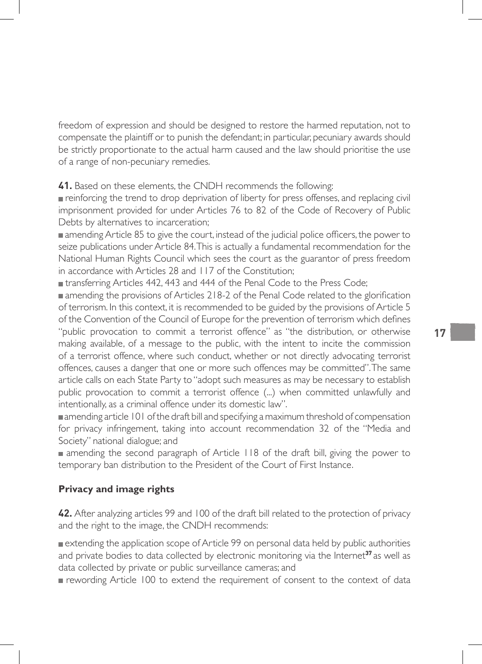freedom of expression and should be designed to restore the harmed reputation, not to compensate the plaintiff or to punish the defendant; in particular, pecuniary awards should be strictly proportionate to the actual harm caused and the law should prioritise the use of a range of non-pecuniary remedies.

**41.** Based on these elements, the CNDH recommends the following:

reinforcing the trend to drop deprivation of liberty for press offenses, and replacing civil imprisonment provided for under Articles 76 to 82 of the Code of Recovery of Public Debts by alternatives to incarceration;

**namending Article 85 to give the court, instead of the judicial police officers, the power to** seize publications under Article 84. This is actually a fundamental recommendation for the National Human Rights Council which sees the court as the guarantor of press freedom in accordance with Articles 28 and 117 of the Constitution;

**transferring Articles 442, 443 and 444 of the Penal Code to the Press Code;** 

amending the provisions of Articles 218-2 of the Penal Code related to the glorification of terrorism. In this context, it is recommended to be guided by the provisions of Article 5 of the Convention of the Council of Europe for the prevention of terrorism which defines "public provocation to commit a terrorist offence" as "the distribution, or otherwise making available, of a message to the public, with the intent to incite the commission of a terrorist offence, where such conduct, whether or not directly advocating terrorist offences, causes a danger that one or more such offences may be committed". The same article calls on each State Party to "adopt such measures as may be necessary to establish public provocation to commit a terrorist offence (...) when committed unlawfully and intentionally, as a criminal offence under its domestic law".

amending article 101 of the draft bill and specifying a maximum threshold of compensation for privacy infringement, taking into account recommendation 32 of the "Media and Society" national dialogue; and

amending the second paragraph of Article 118 of the draft bill, giving the power to temporary ban distribution to the President of the Court of First Instance.

## **Privacy and image rights**

**42.** After analyzing articles 99 and 100 of the draft bill related to the protection of privacy and the right to the image, the CNDH recommends:

extending the application scope of Article 99 on personal data held by public authorities and private bodies to data collected by electronic monitoring via the Internet**<sup>37</sup>**as well as data collected by private or public surveillance cameras; and

rewording Article 100 to extend the requirement of consent to the context of data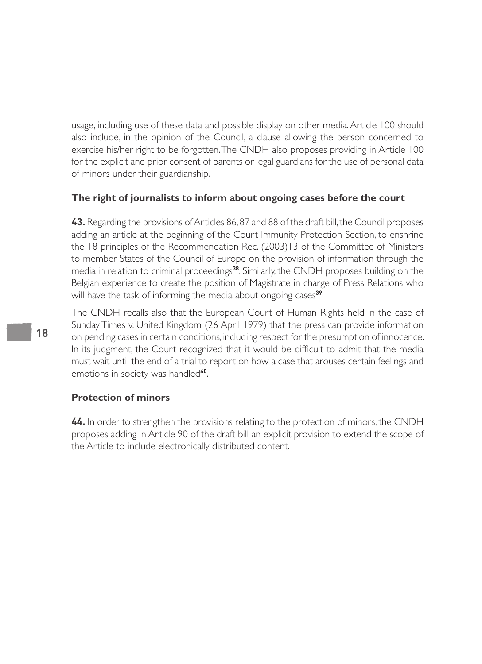usage, including use of these data and possible display on other media. Article 100 should also include, in the opinion of the Council, a clause allowing the person concerned to exercise his/her right to be forgotten. The CNDH also proposes providing in Article 100 for the explicit and prior consent of parents or legal guardians for the use of personal data of minors under their guardianship.

## **The right of journalists to inform about ongoing cases before the court**

**43.** Regarding the provisions of Articles 86, 87 and 88 of the draft bill, the Council proposes adding an article at the beginning of the Court Immunity Protection Section, to enshrine the 18 principles of the Recommendation Rec. (2003)13 of the Committee of Ministers to member States of the Council of Europe on the provision of information through the media in relation to criminal proceedings**<sup>38</sup>**. Similarly, the CNDH proposes building on the Belgian experience to create the position of Magistrate in charge of Press Relations who will have the task of informing the media about ongoing cases**<sup>39</sup>**.

The CNDH recalls also that the European Court of Human Rights held in the case of Sunday Times v. United Kingdom (26 April 1979) that the press can provide information on pending cases in certain conditions, including respect for the presumption of innocence. In its judgment, the Court recognized that it would be difficult to admit that the media must wait until the end of a trial to report on how a case that arouses certain feelings and emotions in society was handled**<sup>40</sup>**.

## **Protection of minors**

**44.** In order to strengthen the provisions relating to the protection of minors, the CNDH proposes adding in Article 90 of the draft bill an explicit provision to extend the scope of the Article to include electronically distributed content.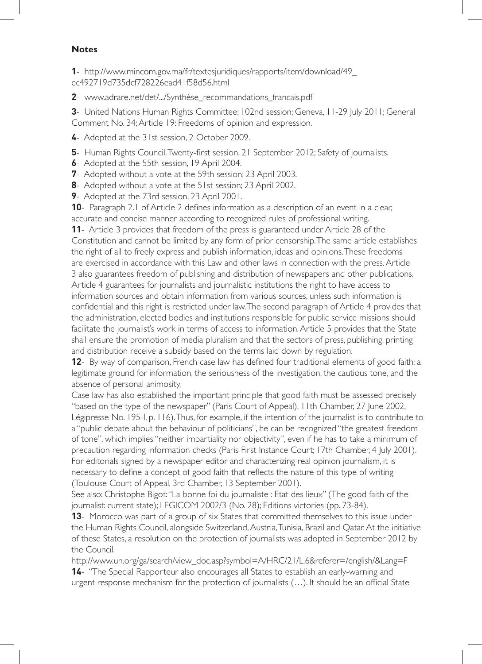#### **Notes**

**1**- http://www.mincom.gov.ma/fr/textesjuridiques/rapports/item/download/49\_ ec492719d735dcf728226ead41f58d56.html

**2**- www.adrare.net/det/.../Synthèse\_recommandations\_francais.pdf

**3**- United Nations Human Rights Committee; 102nd session; Geneva, 11-29 July 2011; General Comment No. 34; Article 19: Freedoms of opinion and expression.

- **4** Adopted at the 31st session, 2 October 2009.
- **5** Human Rights Council, Twenty-first session, 21 September 2012; Safety of journalists.
- **6** Adopted at the 55th session, 19 April 2004.
- **7** Adopted without a vote at the 59th session; 23 April 2003.
- **8** Adopted without a vote at the 51st session; 23 April 2002.
- **9** Adopted at the 73rd session, 23 April 2001.

**10**- Paragraph 2.1 of Article 2 defines information as a description of an event in a clear, accurate and concise manner according to recognized rules of professional writing.

**11**- Article 3 provides that freedom of the press is guaranteed under Article 28 of the Constitution and cannot be limited by any form of prior censorship. The same article establishes the right of all to freely express and publish information, ideas and opinions. These freedoms are exercised in accordance with this Law and other laws in connection with the press. Article 3 also guarantees freedom of publishing and distribution of newspapers and other publications. Article 4 guarantees for journalists and journalistic institutions the right to have access to information sources and obtain information from various sources, unless such information is confidential and this right is restricted under law. The second paragraph of Article 4 provides that the administration, elected bodies and institutions responsible for public service missions should facilitate the journalist's work in terms of access to information. Article 5 provides that the State shall ensure the promotion of media pluralism and that the sectors of press, publishing, printing and distribution receive a subsidy based on the terms laid down by regulation.

**12**- By way of comparison, French case law has defined four traditional elements of good faith: a legitimate ground for information, the seriousness of the investigation, the cautious tone, and the absence of personal animosity.

Case law has also established the important principle that good faith must be assessed precisely "based on the type of the newspaper" (Paris Court of Appeal), 11th Chamber, 27 June 2002, Légipresse No. 195-I, p. 116). Thus, for example, if the intention of the journalist is to contribute to a "public debate about the behaviour of politicians", he can be recognized "the greatest freedom of tone", which implies "neither impartiality nor objectivity", even if he has to take a minimum of precaution regarding information checks (Paris First Instance Court; 17th Chamber, 4 July 2001). For editorials signed by a newspaper editor and characterizing real opinion journalism, it is necessary to define a concept of good faith that reflects the nature of this type of writing (Toulouse Court of Appeal, 3rd Chamber, 13 September 2001).

See also: Christophe Bigot: "La bonne foi du journaliste : Etat des lieux" (The good faith of the journalist: current state); LEGICOM 2002/3 (No. 28); Editions victories (pp. 73-84).

**13**- Morocco was part of a group of six States that committed themselves to this issue under the Human Rights Council, alongside Switzerland, Austria, Tunisia, Brazil and Qatar. At the initiative of these States, a resolution on the protection of journalists was adopted in September 2012 by the Council.

http://www.un.org/ga/search/view\_doc.asp?symbol=A/HRC/21/L.6&referer=/english/&Lang=F **14**- "The Special Rapporteur also encourages all States to establish an early-warning and urgent response mechanism for the protection of journalists (…). It should be an official State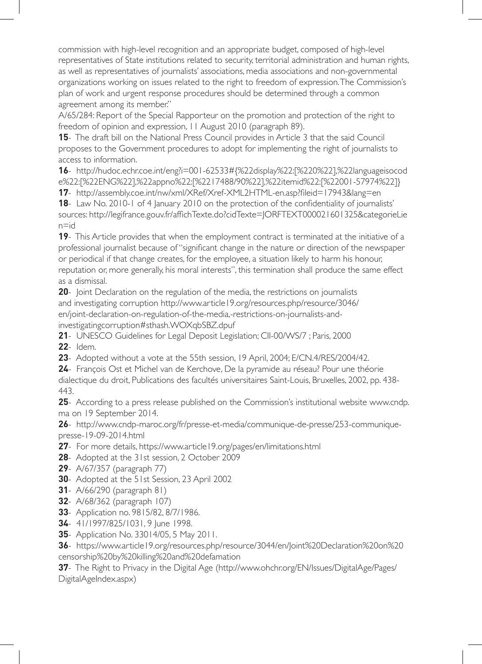commission with high-level recognition and an appropriate budget, composed of high-level representatives of State institutions related to security, territorial administration and human rights, as well as representatives of journalists' associations, media associations and non-governmental organizations working on issues related to the right to freedom of expression. The Commission's plan of work and urgent response procedures should be determined through a common agreement among its member."

A/65/284: Report of the Special Rapporteur on the promotion and protection of the right to freedom of opinion and expression, 11 August 2010 (paragraph 89).

**15**- The draft bill on the National Press Council provides in Article 3 that the said Council proposes to the Government procedures to adopt for implementing the right of journalists to access to information.

**16**- http://hudoc.echr.coe.int/eng?i=001-62533#{%22display%22:[%220%22],%22languageisocod e%22:[%22ENG%22],%22appno%22:[%2217488/90%22],%22itemid%22:[%22001-57974%22]}

**17**- http://assembly.coe.int/nw/xml/XRef/Xref-XML2HTML-en.asp?fileid=17943&lang=en

**18**- Law No. 2010-1 of 4 January 2010 on the protection of the confidentiality of journalists' sources: http://legifrance.gouv.fr/affichTexte.do?cidTexte=JORFTEXT000021601325&categorieLie n=id

**19**- This Article provides that when the employment contract is terminated at the initiative of a professional journalist because of "significant change in the nature or direction of the newspaper or periodical if that change creates, for the employee, a situation likely to harm his honour, reputation or, more generally, his moral interests", this termination shall produce the same effect as a dismissal.

**20**- Joint Declaration on the regulation of the media, the restrictions on journalists and investigating corruption http://www.article19.org/resources.php/resource/3046/ en/joint-declaration-on-regulation-of-the-media,-restrictions-on-journalists-andinvestigatingcorruption#sthash.WOXqbSBZ.dpuf

**21**- UNESCO Guidelines for Legal Deposit Legislation; CII-00/WS/7 ; Paris, 2000

**22**- Idem.

**23**- Adopted without a vote at the 55th session, 19 April, 2004; E/CN.4/RES/2004/42.

**24**- François Ost et Michel van de Kerchove, De la pyramide au réseau? Pour une théorie dialectique du droit, Publications des facultés universitaires Saint-Louis, Bruxelles, 2002, pp. 438- 443.

**25**- According to a press release published on the Commission's institutional website www.cndp. ma on 19 September 2014.

**26**- http://www.cndp-maroc.org/fr/presse-et-media/communique-de-presse/253-communiquepresse-19-09-2014.html

**27**- For more details, https://www.article19.org/pages/en/limitations.html

- **28** Adopted at the 31st session, 2 October 2009
- **29** A/67/357 (paragraph 77)
- **30** Adopted at the 51st Session, 23 April 2002
- **31** A/66/290 (paragraph 81)
- **32** A/68/362 (paragraph 107)
- **33** Application no. 9815/82, 8/7/1986.
- **34** 41/1997/825/1031, 9 June 1998.
- **35** Application No. 33014/05, 5 May 2011.

**36**- https://www.article19.org/resources.php/resource/3044/en/Joint%20Declaration%20on%20 censorship%20by%20killing%20and%20defamation

**37**- The Right to Privacy in the Digital Age (http://www.ohchr.org/EN/Issues/DigitalAge/Pages/ DigitalAgeIndex.aspx)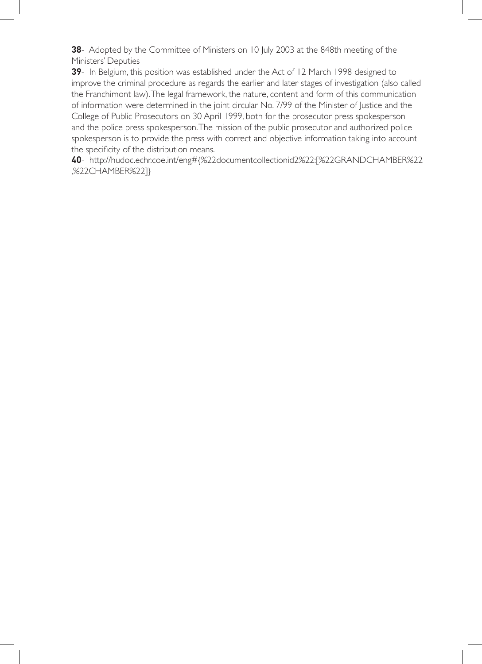**38**- Adopted by the Committee of Ministers on 10 July 2003 at the 848th meeting of the Ministers' Deputies

**39**- In Belgium, this position was established under the Act of 12 March 1998 designed to improve the criminal procedure as regards the earlier and later stages of investigation (also called the Franchimont law). The legal framework, the nature, content and form of this communication of information were determined in the joint circular No. 7/99 of the Minister of Justice and the College of Public Prosecutors on 30 April 1999, both for the prosecutor press spokesperson and the police press spokesperson. The mission of the public prosecutor and authorized police spokesperson is to provide the press with correct and objective information taking into account the specificity of the distribution means.

**40**- http://hudoc.echr.coe.int/eng#{%22documentcollectionid2%22:[%22GRANDCHAMBER%22 ,%22CHAMBER%22]}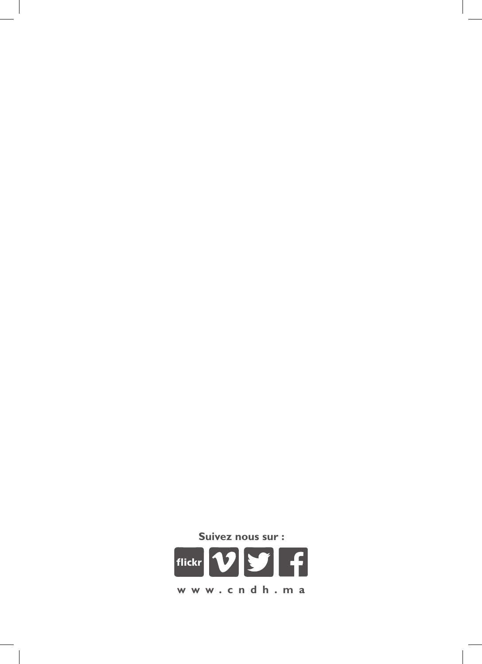